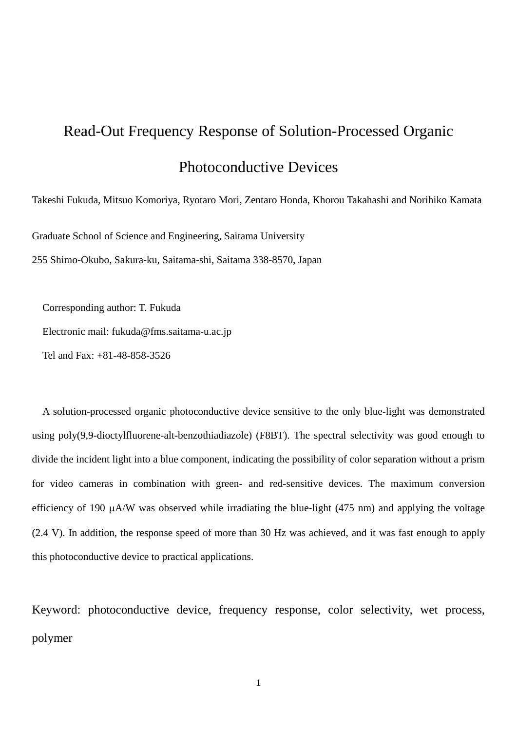# Read-Out Frequency Response of Solution-Processed Organic Photoconductive Devices

Takeshi Fukuda, Mitsuo Komoriya, Ryotaro Mori, Zentaro Honda, Khorou Takahashi and Norihiko Kamata

Graduate School of Science and Engineering, Saitama University

255 Shimo-Okubo, Sakura-ku, Saitama-shi, Saitama 338-8570, Japan

Corresponding author: T. Fukuda

Electronic mail: fukuda@fms.saitama-u.ac.jp

Tel and Fax: +81-48-858-3526

A solution-processed organic photoconductive device sensitive to the only blue-light was demonstrated using poly(9,9-dioctylfluorene-alt-benzothiadiazole) (F8BT). The spectral selectivity was good enough to divide the incident light into a blue component, indicating the possibility of color separation without a prism for video cameras in combination with green- and red-sensitive devices. The maximum conversion efficiency of 190 µA/W was observed while irradiating the blue-light (475 nm) and applying the voltage (2.4 V). In addition, the response speed of more than 30 Hz was achieved, and it was fast enough to apply this photoconductive device to practical applications.

Keyword: photoconductive device, frequency response, color selectivity, wet process, polymer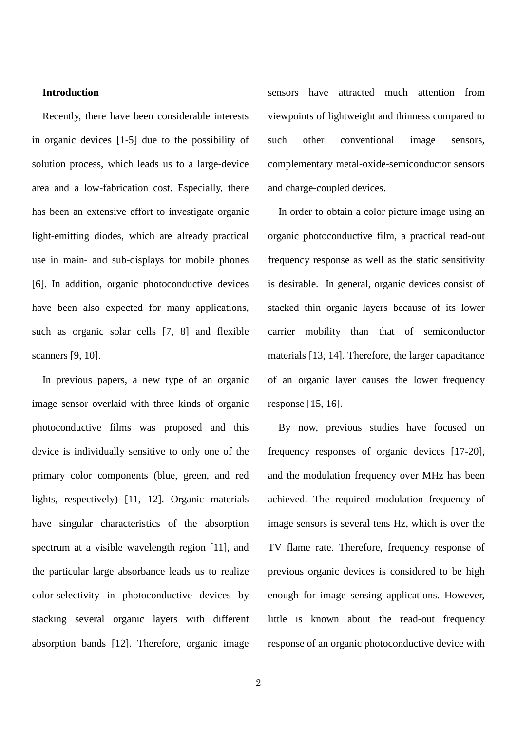# **Introduction**

Recently, there have been considerable interests in organic devices [1-5] due to the possibility of solution process, which leads us to a large-device area and a low-fabrication cost. Especially, there has been an extensive effort to investigate organic light-emitting diodes, which are already practical use in main- and sub-displays for mobile phones [6]. In addition, organic photoconductive devices have been also expected for many applications, such as organic solar cells [7, 8] and flexible scanners [9, 10].

In previous papers, a new type of an organic image sensor overlaid with three kinds of organic photoconductive films was proposed and this device is individually sensitive to only one of the primary color components (blue, green, and red lights, respectively) [11, 12]. Organic materials have singular characteristics of the absorption spectrum at a visible wavelength region [11], and the particular large absorbance leads us to realize color-selectivity in photoconductive devices by stacking several organic layers with different absorption bands [12]. Therefore, organic image sensors have attracted much attention from viewpoints of lightweight and thinness compared to such other conventional image sensors, complementary metal-oxide-semiconductor sensors and charge-coupled devices.

In order to obtain a color picture image using an organic photoconductive film, a practical read-out frequency response as well as the static sensitivity is desirable. In general, organic devices consist of stacked thin organic layers because of its lower carrier mobility than that of semiconductor materials [13, 14]. Therefore, the larger capacitance of an organic layer causes the lower frequency response [15, 16].

By now, previous studies have focused on frequency responses of organic devices [17-20], and the modulation frequency over MHz has been achieved. The required modulation frequency of image sensors is several tens Hz, which is over the TV flame rate. Therefore, frequency response of previous organic devices is considered to be high enough for image sensing applications. However, little is known about the read-out frequency response of an organic photoconductive device with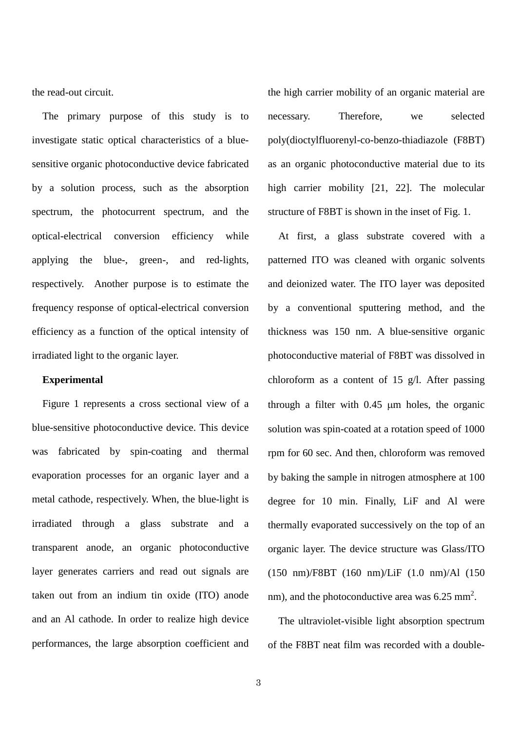the read-out circuit.

The primary purpose of this study is to investigate static optical characteristics of a bluesensitive organic photoconductive device fabricated by a solution process, such as the absorption spectrum, the photocurrent spectrum, and the optical-electrical conversion efficiency while applying the blue-, green-, and red-lights, respectively. Another purpose is to estimate the frequency response of optical-electrical conversion efficiency as a function of the optical intensity of irradiated light to the organic layer.

# **Experimental**

Figure 1 represents a cross sectional view of a blue-sensitive photoconductive device. This device was fabricated by spin-coating and thermal evaporation processes for an organic layer and a metal cathode, respectively. When, the blue-light is irradiated through a glass substrate and a transparent anode, an organic photoconductive layer generates carriers and read out signals are taken out from an indium tin oxide (ITO) anode and an Al cathode. In order to realize high device performances, the large absorption coefficient and the high carrier mobility of an organic material are necessary. Therefore, we selected poly(dioctylfluorenyl-co-benzo-thiadiazole (F8BT) as an organic photoconductive material due to its high carrier mobility [21, 22]. The molecular structure of F8BT is shown in the inset of Fig. 1.

At first, a glass substrate covered with a patterned ITO was cleaned with organic solvents and deionized water. The ITO layer was deposited by a conventional sputtering method, and the thickness was 150 nm. A blue-sensitive organic photoconductive material of F8BT was dissolved in chloroform as a content of 15 g/l. After passing through a filter with  $0.45 \mu m$  holes, the organic solution was spin-coated at a rotation speed of 1000 rpm for 60 sec. And then, chloroform was removed by baking the sample in nitrogen atmosphere at 100 degree for 10 min. Finally, LiF and Al were thermally evaporated successively on the top of an organic layer. The device structure was Glass/ITO (150 nm)/F8BT (160 nm)/LiF (1.0 nm)/Al (150 nm), and the photoconductive area was  $6.25$  mm<sup>2</sup>.

The ultraviolet-visible light absorption spectrum of the F8BT neat film was recorded with a double-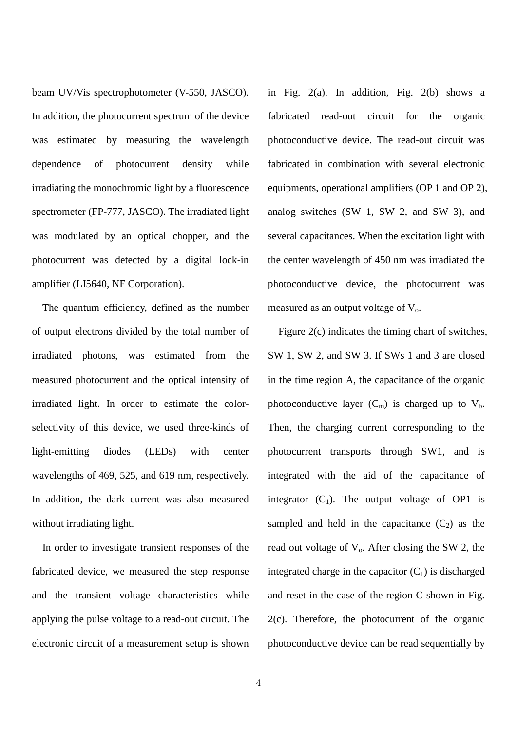beam UV/Vis spectrophotometer (V-550, JASCO). In addition, the photocurrent spectrum of the device was estimated by measuring the wavelength dependence of photocurrent density while irradiating the monochromic light by a fluorescence spectrometer (FP-777, JASCO). The irradiated light was modulated by an optical chopper, and the photocurrent was detected by a digital lock-in amplifier (LI5640, NF Corporation).

The quantum efficiency, defined as the number of output electrons divided by the total number of irradiated photons, was estimated from the measured photocurrent and the optical intensity of irradiated light. In order to estimate the colorselectivity of this device, we used three-kinds of light-emitting diodes (LEDs) with center wavelengths of 469, 525, and 619 nm, respectively. In addition, the dark current was also measured without irradiating light.

In order to investigate transient responses of the fabricated device, we measured the step response and the transient voltage characteristics while applying the pulse voltage to a read-out circuit. The electronic circuit of a measurement setup is shown in Fig. 2(a). In addition, Fig. 2(b) shows a fabricated read-out circuit for the organic photoconductive device. The read-out circuit was fabricated in combination with several electronic equipments, operational amplifiers (OP 1 and OP 2), analog switches (SW 1, SW 2, and SW 3), and several capacitances. When the excitation light with the center wavelength of 450 nm was irradiated the photoconductive device, the photocurrent was measured as an output voltage of  $V<sub>o</sub>$ .

Figure 2(c) indicates the timing chart of switches, SW 1, SW 2, and SW 3. If SWs 1 and 3 are closed in the time region A, the capacitance of the organic photoconductive layer  $(C_m)$  is charged up to  $V_b$ . Then, the charging current corresponding to the photocurrent transports through SW1, and is integrated with the aid of the capacitance of integrator  $(C_1)$ . The output voltage of OP1 is sampled and held in the capacitance  $(C_2)$  as the read out voltage of  $V_0$ . After closing the SW 2, the integrated charge in the capacitor  $(C_1)$  is discharged and reset in the case of the region C shown in Fig. 2(c). Therefore, the photocurrent of the organic photoconductive device can be read sequentially by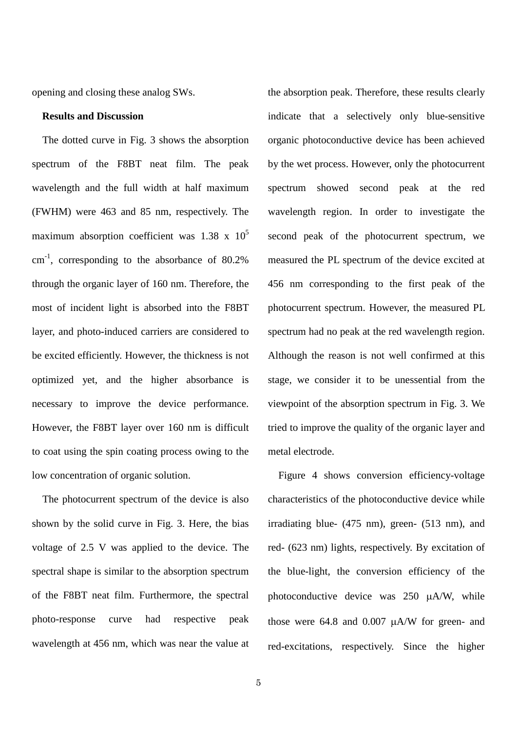opening and closing these analog SWs.

#### **Results and Discussion**

The dotted curve in Fig. 3 shows the absorption spectrum of the F8BT neat film. The peak wavelength and the full width at half maximum (FWHM) were 463 and 85 nm, respectively. The maximum absorption coefficient was  $1.38 \times 10^5$ cm-1 , corresponding to the absorbance of 80.2% through the organic layer of 160 nm. Therefore, the most of incident light is absorbed into the F8BT layer, and photo-induced carriers are considered to be excited efficiently. However, the thickness is not optimized yet, and the higher absorbance is necessary to improve the device performance. However, the F8BT layer over 160 nm is difficult to coat using the spin coating process owing to the low concentration of organic solution.

The photocurrent spectrum of the device is also shown by the solid curve in Fig. 3. Here, the bias voltage of 2.5 V was applied to the device. The spectral shape is similar to the absorption spectrum of the F8BT neat film. Furthermore, the spectral photo-response curve had respective peak wavelength at 456 nm, which was near the value at

the absorption peak. Therefore, these results clearly indicate that a selectively only blue-sensitive organic photoconductive device has been achieved by the wet process. However, only the photocurrent spectrum showed second peak at the red wavelength region. In order to investigate the second peak of the photocurrent spectrum, we measured the PL spectrum of the device excited at 456 nm corresponding to the first peak of the photocurrent spectrum. However, the measured PL spectrum had no peak at the red wavelength region. Although the reason is not well confirmed at this stage, we consider it to be unessential from the viewpoint of the absorption spectrum in Fig. 3. We tried to improve the quality of the organic layer and metal electrode.

Figure 4 shows conversion efficiency-voltage characteristics of the photoconductive device while irradiating blue- (475 nm), green- (513 nm), and red- (623 nm) lights, respectively. By excitation of the blue-light, the conversion efficiency of the photoconductive device was 250 µA/W, while those were 64.8 and 0.007 µA/W for green- and red-excitations, respectively. Since the higher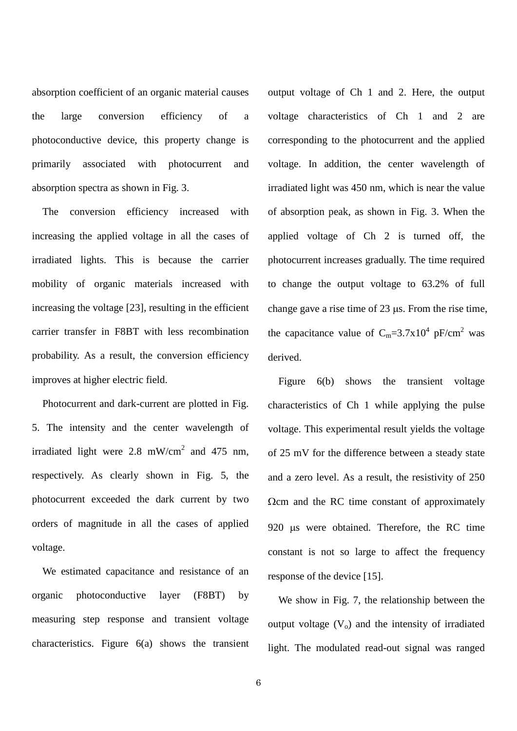absorption coefficient of an organic material causes the large conversion efficiency of a photoconductive device, this property change is primarily associated with photocurrent and absorption spectra as shown in Fig. 3.

The conversion efficiency increased with increasing the applied voltage in all the cases of irradiated lights. This is because the carrier mobility of organic materials increased with increasing the voltage [23], resulting in the efficient carrier transfer in F8BT with less recombination probability. As a result, the conversion efficiency improves at higher electric field.

Photocurrent and dark-current are plotted in Fig. 5. The intensity and the center wavelength of irradiated light were 2.8 mW/cm<sup>2</sup> and 475 nm, respectively. As clearly shown in Fig. 5, the photocurrent exceeded the dark current by two orders of magnitude in all the cases of applied voltage.

We estimated capacitance and resistance of an organic photoconductive layer (F8BT) by measuring step response and transient voltage characteristics. Figure 6(a) shows the transient output voltage of Ch 1 and 2. Here, the output voltage characteristics of Ch 1 and 2 are corresponding to the photocurrent and the applied voltage. In addition, the center wavelength of irradiated light was 450 nm, which is near the value of absorption peak, as shown in Fig. 3. When the applied voltage of Ch 2 is turned off, the photocurrent increases gradually. The time required to change the output voltage to 63.2% of full change gave a rise time of 23 µs. From the rise time, the capacitance value of  $C_m = 3.7 \times 10^4$  pF/cm<sup>2</sup> was derived.

Figure 6(b) shows the transient voltage characteristics of Ch 1 while applying the pulse voltage. This experimental result yields the voltage of 25 mV for the difference between a steady state and a zero level. As a result, the resistivity of 250 Ωcm and the RC time constant of approximately 920 µs were obtained. Therefore, the RC time constant is not so large to affect the frequency response of the device [15].

We show in Fig. 7, the relationship between the output voltage  $(V_0)$  and the intensity of irradiated light. The modulated read-out signal was ranged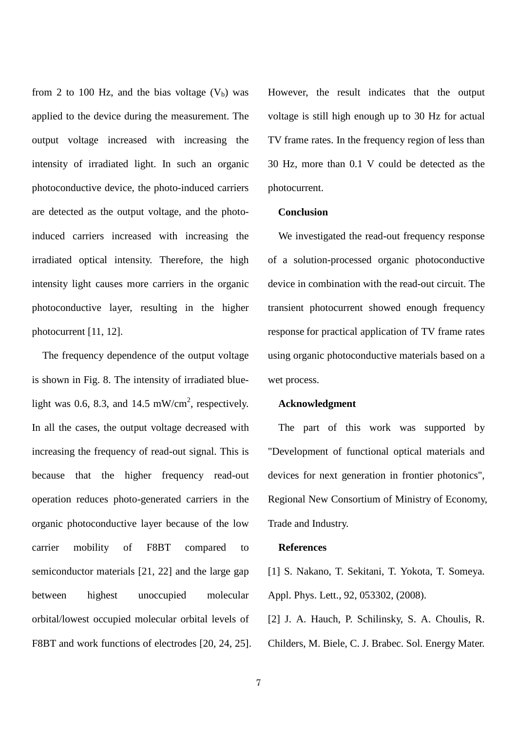from 2 to 100 Hz, and the bias voltage  $(V<sub>b</sub>)$  was applied to the device during the measurement. The output voltage increased with increasing the intensity of irradiated light. In such an organic photoconductive device, the photo-induced carriers are detected as the output voltage, and the photoinduced carriers increased with increasing the irradiated optical intensity. Therefore, the high intensity light causes more carriers in the organic photoconductive layer, resulting in the higher photocurrent [11, 12].

The frequency dependence of the output voltage is shown in Fig. 8. The intensity of irradiated bluelight was 0.6, 8.3, and 14.5 mW/cm<sup>2</sup>, respectively. In all the cases, the output voltage decreased with increasing the frequency of read-out signal. This is because that the higher frequency read-out operation reduces photo-generated carriers in the organic photoconductive layer because of the low carrier mobility of F8BT compared to semiconductor materials [21, 22] and the large gap between highest unoccupied molecular orbital/lowest occupied molecular orbital levels of F8BT and work functions of electrodes [20, 24, 25]. However, the result indicates that the output voltage is still high enough up to 30 Hz for actual TV frame rates. In the frequency region of less than 30 Hz, more than 0.1 V could be detected as the photocurrent.

### **Conclusion**

We investigated the read-out frequency response of a solution-processed organic photoconductive device in combination with the read-out circuit. The transient photocurrent showed enough frequency response for practical application of TV frame rates using organic photoconductive materials based on a wet process.

#### **Acknowledgment**

The part of this work was supported by "Development of functional optical materials and devices for next generation in frontier photonics", Regional New Consortium of Ministry of Economy, Trade and Industry.

## **References**

[1] S. Nakano, T. Sekitani, T. Yokota, T. Someya. Appl. Phys. Lett., 92, 053302, (2008).

[2] J. A. Hauch, P. Schilinsky, S. A. Choulis, R. Childers, M. Biele, C. J. Brabec. Sol. Energy Mater.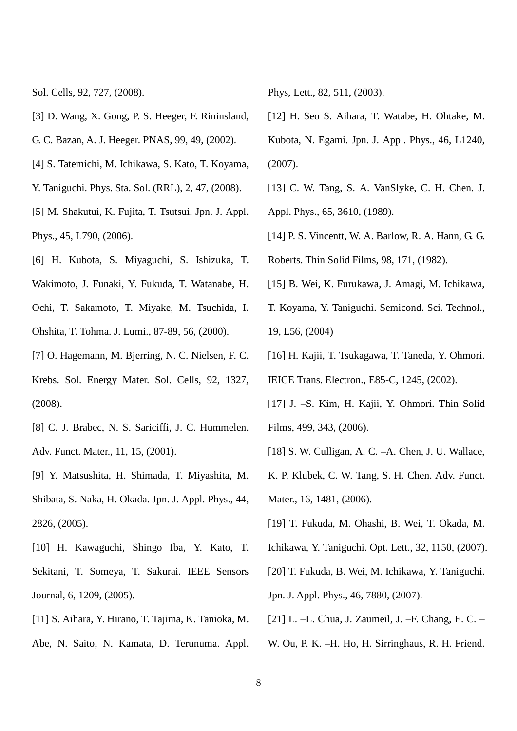Sol. Cells, 92, 727, (2008).

- [3] D. Wang, X. Gong, P. S. Heeger, F. Rininsland, G. C. Bazan, A. J. Heeger. PNAS, 99, 49, (2002).
- [4] S. Tatemichi, M. Ichikawa, S. Kato, T. Koyama,
- Y. Taniguchi. Phys. Sta. Sol. (RRL), 2, 47, (2008).
- [5] M. Shakutui, K. Fujita, T. Tsutsui. Jpn. J. Appl. Phys., 45, L790, (2006).
- [6] H. Kubota, S. Miyaguchi, S. Ishizuka, T. Wakimoto, J. Funaki, Y. Fukuda, T. Watanabe, H. Ochi, T. Sakamoto, T. Miyake, M. Tsuchida, I. Ohshita, T. Tohma. J. Lumi., 87-89, 56, (2000).
- [7] O. Hagemann, M. Bjerring, N. C. Nielsen, F. C. Krebs. Sol. Energy Mater. Sol. Cells, 92, 1327, (2008).
- [8] C. J. Brabec, N. S. Sariciffi, J. C. Hummelen. Adv. Funct. Mater., 11, 15, (2001).
- [9] Y. Matsushita, H. Shimada, T. Miyashita, M. Shibata, S. Naka, H. Okada. Jpn. J. Appl. Phys., 44, 2826, (2005).
- [10] H. Kawaguchi, Shingo Iba, Y. Kato, T. Sekitani, T. Someya, T. Sakurai. IEEE Sensors Journal, 6, 1209, (2005).
- [11] S. Aihara, Y. Hirano, T. Tajima, K. Tanioka, M. Abe, N. Saito, N. Kamata, D. Terunuma. Appl.

Phys, Lett., 82, 511, (2003).

- [12] H. Seo S. Aihara, T. Watabe, H. Ohtake, M. Kubota, N. Egami. Jpn. J. Appl. Phys., 46, L1240, (2007).
- [13] C. W. Tang, S. A. VanSlyke, C. H. Chen. J. Appl. Phys., 65, 3610, (1989).
- [14] P. S. Vincentt, W. A. Barlow, R. A. Hann, G. G. Roberts. Thin Solid Films, 98, 171, (1982).
- [15] B. Wei, K. Furukawa, J. Amagi, M. Ichikawa,
- T. Koyama, Y. Taniguchi. Semicond. Sci. Technol., 19, L56, (2004)
- [16] H. Kajii, T. Tsukagawa, T. Taneda, Y. Ohmori. IEICE Trans. Electron., E85-C, 1245, (2002).
- [17] J. –S. Kim, H. Kajii, Y. Ohmori. Thin Solid Films, 499, 343, (2006).
- [18] S. W. Culligan, A. C. –A. Chen, J. U. Wallace,
- K. P. Klubek, C. W. Tang, S. H. Chen. Adv. Funct. Mater., 16, 1481, (2006).
- [19] T. Fukuda, M. Ohashi, B. Wei, T. Okada, M.
- Ichikawa, Y. Taniguchi. Opt. Lett., 32, 1150, (2007).
- [20] T. Fukuda, B. Wei, M. Ichikawa, Y. Taniguchi. Jpn. J. Appl. Phys., 46, 7880, (2007).
- [21] L. –L. Chua, J. Zaumeil, J. –F. Chang, E. C. –
- W. Ou, P. K. –H. Ho, H. Sirringhaus, R. H. Friend.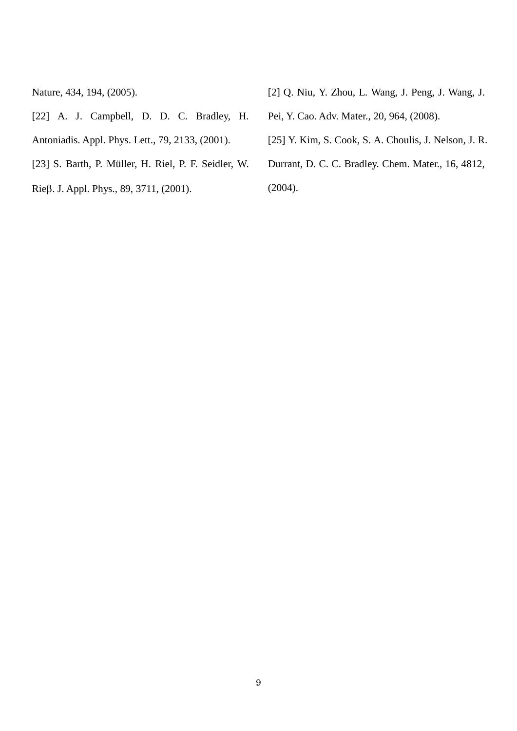Nature, 434, 194, (2005).

- [22] A. J. Campbell, D. D. C. Bradley, H. Antoniadis. Appl. Phys. Lett., 79, 2133, (2001).
- [23] S. Barth, P. Müller, H. Riel, P. F. Seidler, W.
- Rieβ. J. Appl. Phys., 89, 3711, (2001).
- [2] Q. Niu, Y. Zhou, L. Wang, J. Peng, J. Wang, J.
- Pei, Y. Cao. Adv. Mater., 20, 964, (2008).
- [25] Y. Kim, S. Cook, S. A. Choulis, J. Nelson, J. R.
- Durrant, D. C. C. Bradley. Chem. Mater., 16, 4812,

(2004).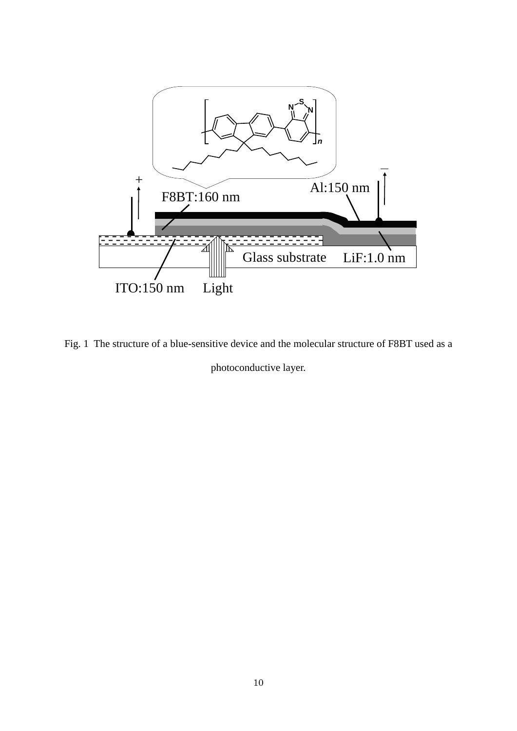

Fig. 1 The structure of a blue-sensitive device and the molecular structure of F8BT used as a photoconductive layer.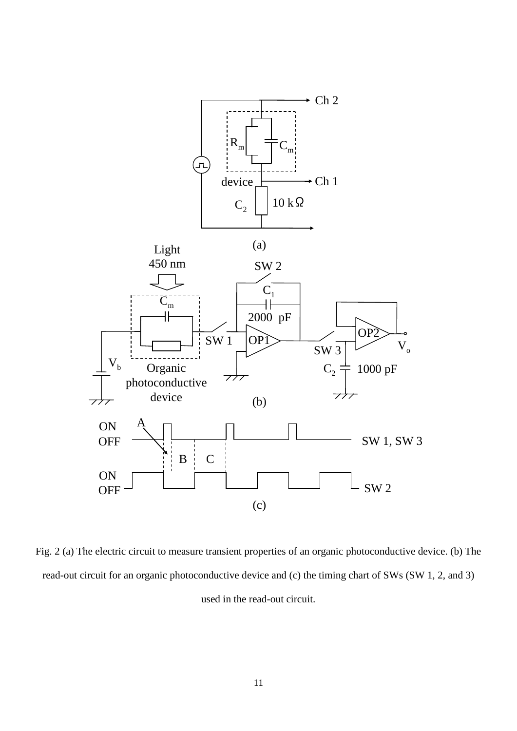

Fig. 2 (a) The electric circuit to measure transient properties of an organic photoconductive device. (b) The read-out circuit for an organic photoconductive device and (c) the timing chart of SWs (SW 1, 2, and 3) used in the read-out circuit.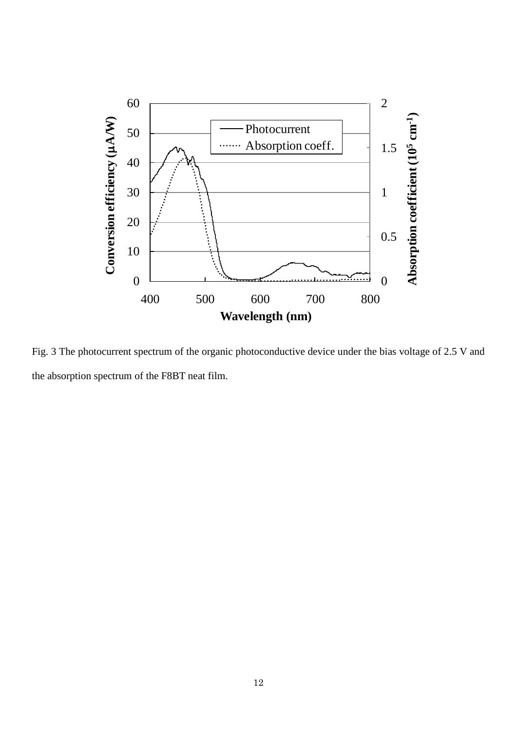

Fig. 3 The photocurrent spectrum of the organic photoconductive device under the bias voltage of 2.5 V and the absorption spectrum of the F8BT neat film.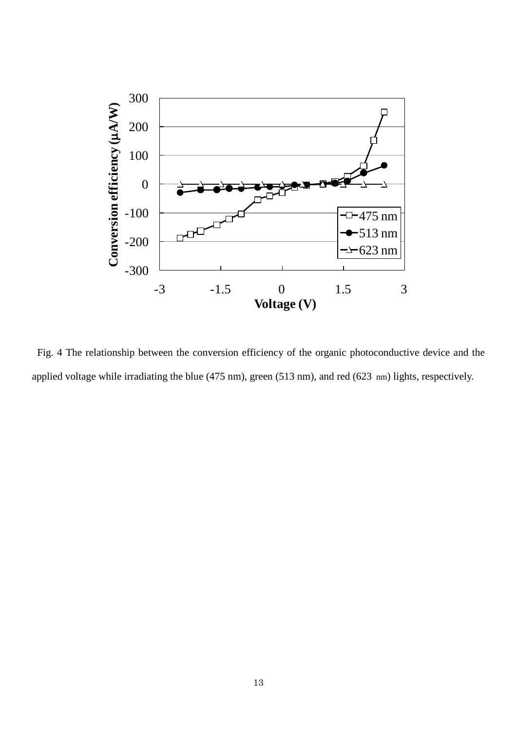

Fig. 4 The relationship between the conversion efficiency of the organic photoconductive device and the applied voltage while irradiating the blue (475 nm), green (513 nm), and red (623 nm) lights, respectively.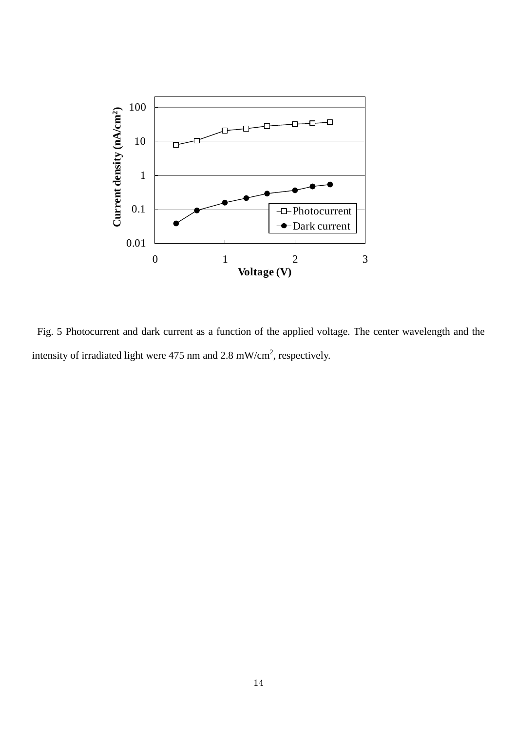

Fig. 5 Photocurrent and dark current as a function of the applied voltage. The center wavelength and the intensity of irradiated light were 475 nm and 2.8 mW/cm<sup>2</sup>, respectively.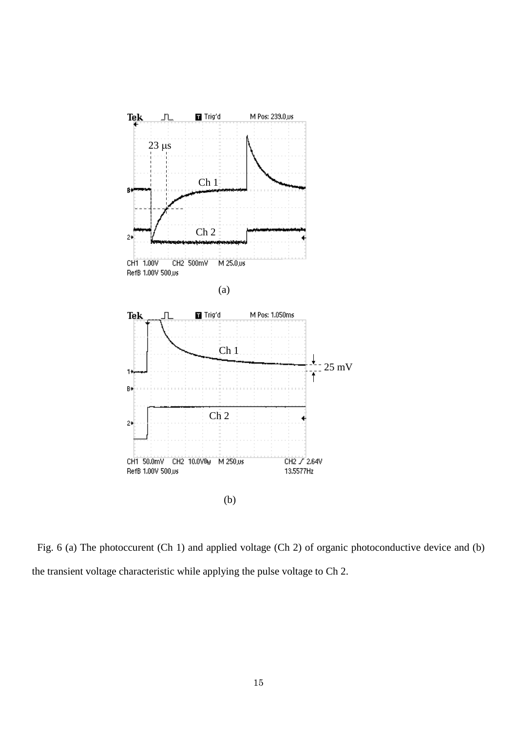

Fig. 6 (a) The photoccurent (Ch 1) and applied voltage (Ch 2) of organic photoconductive device and (b) the transient voltage characteristic while applying the pulse voltage to Ch 2.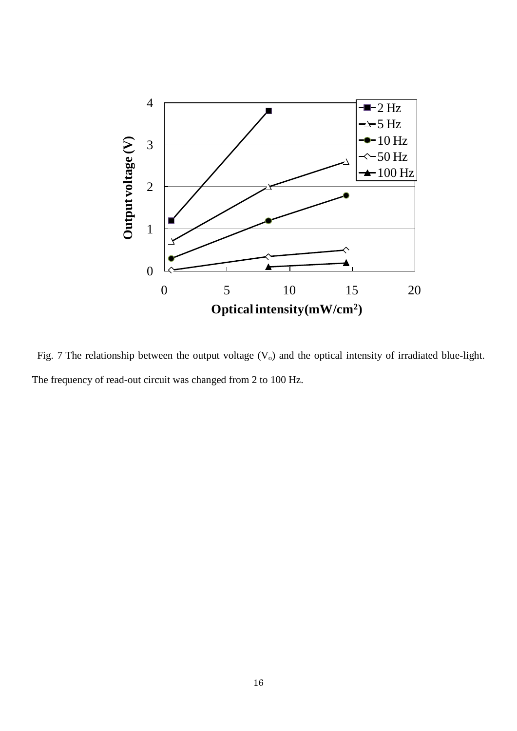

Fig. 7 The relationship between the output voltage  $(V_0)$  and the optical intensity of irradiated blue-light. The frequency of read-out circuit was changed from 2 to 100 Hz.